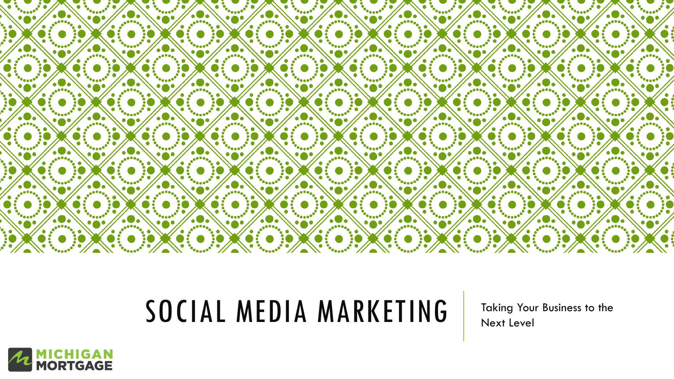

### SOCIAL MEDIA MARKETING Taking Your Business to the

Next Level

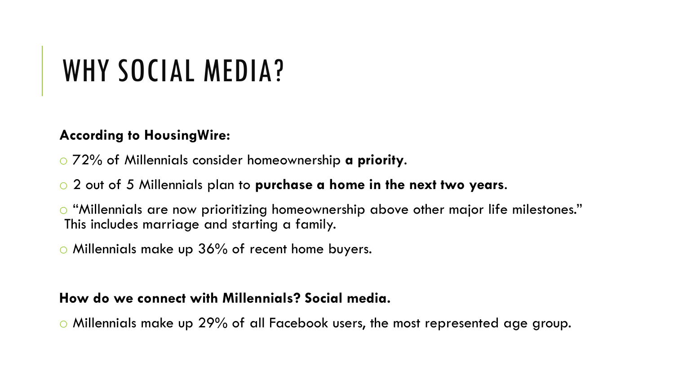## WHY SOCIAL MEDIA?

#### **According to HousingWire:**

- o 72% of Millennials consider homeownership **a priority**.
- o 2 out of 5 Millennials plan to **purchase a home in the next two years**.
- o "Millennials are now prioritizing homeownership above other major life milestones." This includes marriage and starting a family.
- o Millennials make up 36% of recent home buyers.

#### **How do we connect with Millennials? Social media.**

o Millennials make up 29% of all Facebook users, the most represented age group.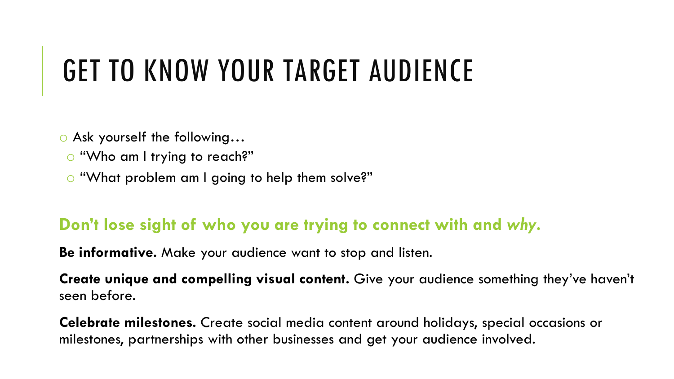## GET TO KNOW YOUR TARGET AUDIENCE

o Ask yourself the following…

o "Who am I trying to reach?"

o "What problem am I going to help them solve?"

### **Don't lose sight of who you are trying to connect with and** *why***.**

**Be informative.** Make your audience want to stop and listen.

**Create unique and compelling visual content.** Give your audience something they've haven't seen before.

**Celebrate milestones.** Create social media content around holidays, special occasions or milestones, partnerships with other businesses and get your audience involved.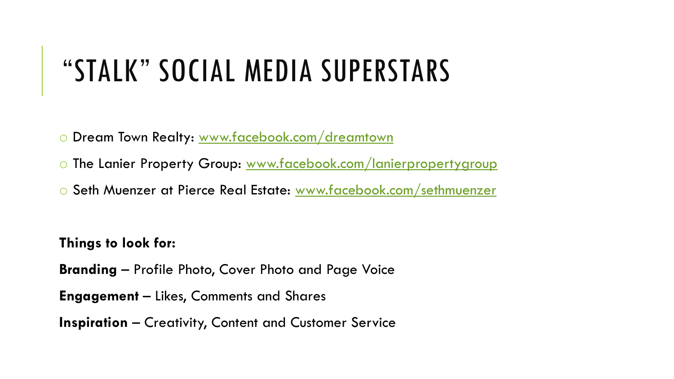### "STALK" SOCIAL MEDIA SUPERSTARS

o Dream Town Realty: [www.facebook.com/dreamtown](http://www.facebook.com/dreamtown)

o The Lanier Property Group: [www.facebook.com/lanierpropertygroup](http://www.facebook.com/lanierpropertygroup)

o Seth Muenzer at Pierce Real Estate: [www.facebook.com/sethmuenzer](http://www.facebook.com/sethmuenzer)

**Things to look for:**

**Branding** – Profile Photo, Cover Photo and Page Voice

**Engagement** – Likes, Comments and Shares

**Inspiration** – Creativity, Content and Customer Service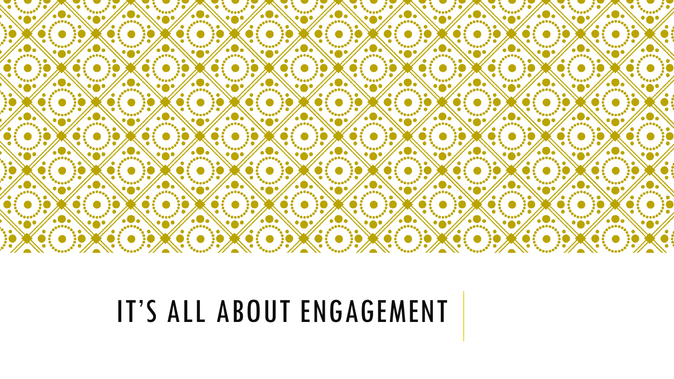

## IT'S ALL ABOUT ENGAGEMENT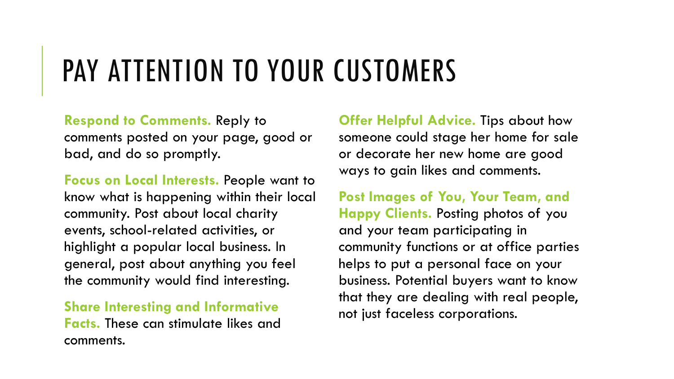## PAY ATTENTION TO YOUR CUSTOMERS

**Respond to Comments.** Reply to comments posted on your page, good or bad, and do so promptly.

**Focus on Local Interests.** People want to know what is happening within their local community. Post about local charity events, school-related activities, or highlight a popular local business. In general, post about anything you feel the community would find interesting.

#### **Share Interesting and Informative Facts.** These can stimulate likes and comments.

**Offer Helpful Advice.** Tips about how someone could stage her home for sale or decorate her new home are good ways to gain likes and comments.

**Post Images of You, Your Team, and Happy Clients.** Posting photos of you and your team participating in community functions or at office parties helps to put a personal face on your business. Potential buyers want to know that they are dealing with real people, not just faceless corporations.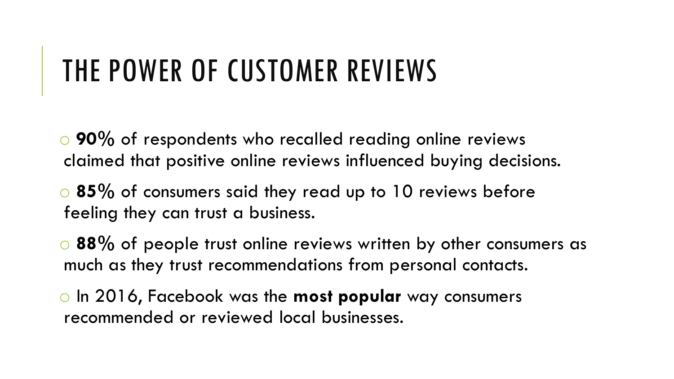## THE POWER OF CUSTOMER REVIEWS

o **90%** of respondents who recalled reading online reviews claimed that positive online reviews influenced buying decisions.

o **85%** of consumers said they read up to 10 reviews before feeling they can trust a business.

o **88%** of people trust online reviews written by other consumers as much as they trust recommendations from personal contacts.

o In 2016, Facebook was the **most popular** way consumers recommended or reviewed local businesses.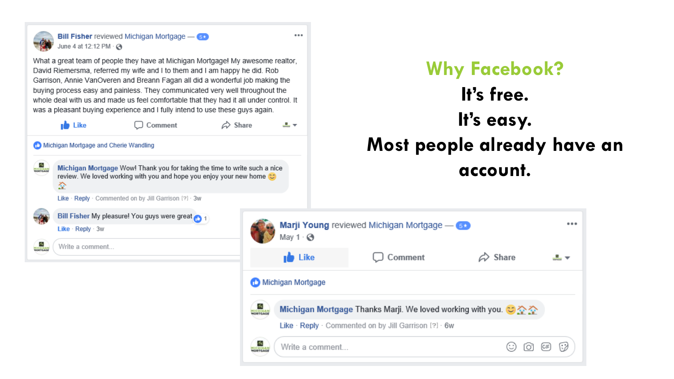

**Bill Fisher** reviewed Michigan Mortgage - 6 June 4 at 12:12 PM · 3

What a great team of people they have at Michigan Mortgage! My awesome realtor, David Riemersma, referred my wife and I to them and I am happy he did. Rob Garrison, Annie VanOveren and Breann Fagan all did a wonderful job making the buying process easy and painless. They communicated very well throughout the whole deal with us and made us feel comfortable that they had it all under control. It was a pleasant buying experience and I fully intend to use these guys again.



 $\Box$  Comment

 $\Leftrightarrow$  Share

ala —

 $\cdots$ 



**THE SEARCH** Michigan Mortgage Wow! Thank you for taking the time to write such a nice review. We loved working with you and hope you enjoy your new home  $\circledcirc$ 줖

Like · Reply · Commented on by Jill Garrison [?] · 3w



**SE** Write a comment...



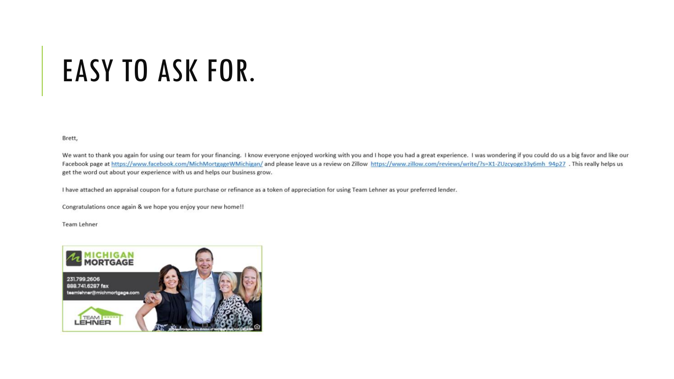## **EASY TO ASK FOR.**

Brett,

We want to thank you again for using our team for your financing. I know everyone enjoyed working with you and I hope you had a great experience. I was wondering if you could do us a big favor and like our Facebook page at https://www.facebook.com/MichMortgageWMichigan/ and please leave us a review on Zillow https://www.zillow.com/reviews/write/?s=X1-ZUzcyoge33y6mh 94p27. This really helps us get the word out about your experience with us and helps our business grow.

I have attached an appraisal coupon for a future purchase or refinance as a token of appreciation for using Team Lehner as your preferred lender.

Congratulations once again & we hope you enjoy your new home!!

Team Lehner

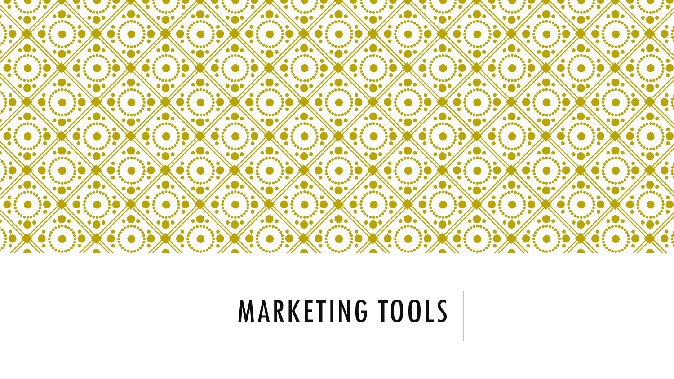

## MARKETING TOOLS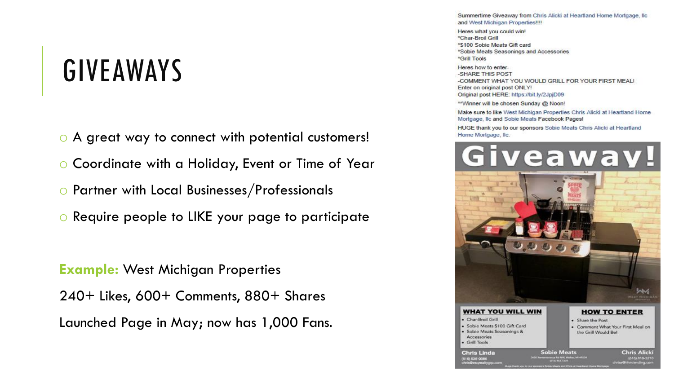### GIVEAWAYS

- o A great way to connect with potential customers!
- o Coordinate with a Holiday, Event or Time of Year
- o Partner with Local Businesses/Professionals
- o Require people to LIKE your page to participate

**Example:** West Michigan Properties 240+ Likes, 600+ Comments, 880+ Shares Launched Page in May; now has 1,000 Fans. Summertime Giveaway from Chris Alicki at Heartland Home Mortgage, Ilc and West Michigan Properties!!!!

Heres what you could win! \*Char-Broil Grill \*\$100 Sobie Meats Gift card \*Sobie Meats Seasonings and Accessories \*Grill Tools

Heres how to enter--SHARE THIS POST -COMMENT WHAT YOU WOULD GRILL FOR YOUR FIRST MEAL! Enter on original post ONLY! Original post HERE: https://bit.ly/2JpjD09

\*\*Winner will be chosen Sunday @ Noon!

Make sure to like West Michigan Properties Chris Alicki at Heartland Home Mortgage, Ilc and Sobie Meats Facebook Pages!

HUGE thank you to our sponsors Sobie Meats Chris Alicki at Heartland Home Mortgage, Ilc.

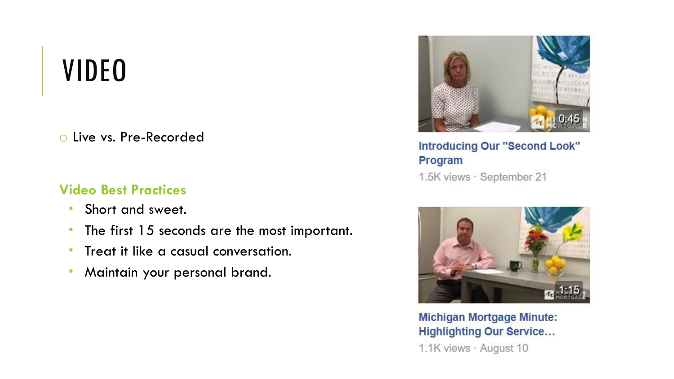### VIDEO

o Live vs. Pre-Recorded

#### **Video Best Practices**

- **Short and sweet.**
- **The first 15 seconds are the most important.**
- **Treat it like a casual conversation.**
- Maintain your personal brand.



**Introducing Our "Second Look"** Program 1.5K views · September 21



**Michigan Mortgage Minute: Highlighting Our Service...** 1.1K views · August 10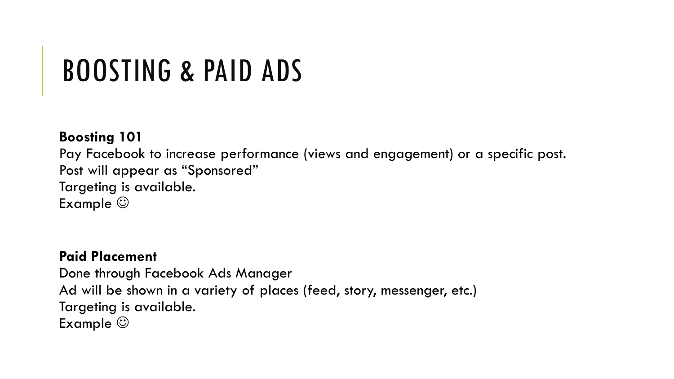## BOOSTING & PAID ADS

#### **Boosting 101**

Pay Facebook to increase performance (views and engagement) or a specific post. Post will appear as "Sponsored" Targeting is available. Example  $\odot$ 

#### **Paid Placement**

Done through Facebook Ads Manager Ad will be shown in a variety of places (feed, story, messenger, etc.) Targeting is available. Example  $\odot$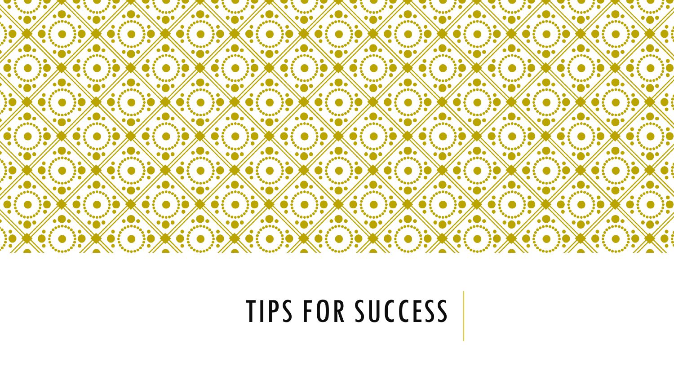

# TIPS FOR SUCCESS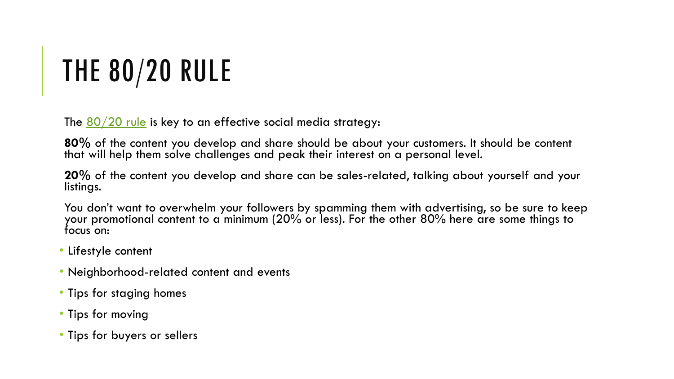# THE 80/20 RULE

The  $80/20$  rule is key to an effective social media strategy:

**80%** of the content you develop and share should be about your customers. It should be content that will help them solve challenges and peak their interest on a personal level.

**20%** of the content you develop and share can be sales-related, talking about yourself and your listings.

You don't want to overwhelm your followers by spamming them with advertising, so be sure to keep your promotional content to a minimum (20% or less). For the other 80% here are some things to focus on:

- Lifestyle content
- Neighborhood-related content and events
- Tips for staging homes
- Tips for moving
- Tips for buyers or sellers